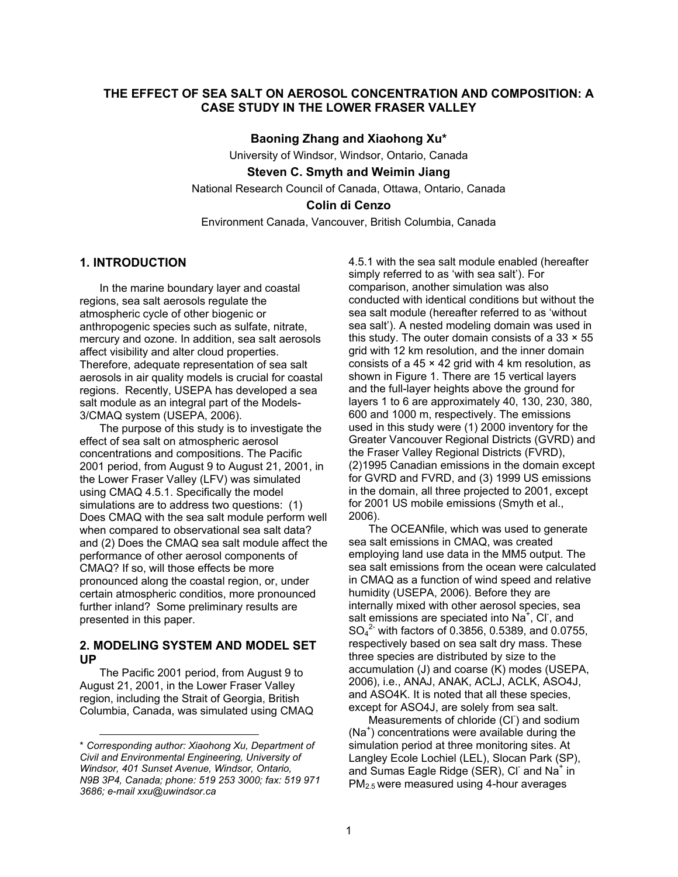## **THE EFFECT OF SEA SALT ON AEROSOL CONCENTRATION AND COMPOSITION: A CASE STUDY IN THE LOWER FRASER VALLEY**

**Baoning Zhang and Xiaohong Xu\***  University of Windsor, Windsor, Ontario, Canada **Steven C. Smyth and Weimin Jiang** 

National Research Council of Canada, Ottawa, Ontario, Canada

### **Colin di Cenzo**

Environment Canada, Vancouver, British Columbia, Canada

# **1. INTRODUCTION**

In the marine boundary layer and coastal regions, sea salt aerosols regulate the atmospheric cycle of other biogenic or anthropogenic species such as sulfate, nitrate, mercury and ozone. In addition, sea salt aerosols affect visibility and alter cloud properties. Therefore, adequate representation of sea salt aerosols in air quality models is crucial for coastal regions. Recently, USEPA has developed a sea salt module as an integral part of the Models-3/CMAQ system (USEPA, 2006).

The purpose of this study is to investigate the effect of sea salt on atmospheric aerosol concentrations and compositions. The Pacific 2001 period, from August 9 to August 21, 2001, in the Lower Fraser Valley (LFV) was simulated using CMAQ 4.5.1. Specifically the model simulations are to address two questions: (1) Does CMAQ with the sea salt module perform well when compared to observational sea salt data? and (2) Does the CMAQ sea salt module affect the performance of other aerosol components of CMAQ? If so, will those effects be more pronounced along the coastal region, or, under certain atmospheric conditios, more pronounced further inland? Some preliminary results are presented in this paper.

## **2. MODELING SYSTEM AND MODEL SET UP**

The Pacific 2001 period, from August 9 to August 21, 2001, in the Lower Fraser Valley region, including the Strait of Georgia, British Columbia, Canada, was simulated using CMAQ

l

4.5.1 with the sea salt module enabled (hereafter simply referred to as 'with sea salt'). For comparison, another simulation was also conducted with identical conditions but without the sea salt module (hereafter referred to as 'without sea salt'). A nested modeling domain was used in this study. The outer domain consists of a  $33 \times 55$ grid with 12 km resolution, and the inner domain consists of a  $45 \times 42$  grid with 4 km resolution, as shown in Figure 1. There are 15 vertical layers and the full-layer heights above the ground for layers 1 to 6 are approximately 40, 130, 230, 380, 600 and 1000 m, respectively. The emissions used in this study were (1) 2000 inventory for the Greater Vancouver Regional Districts (GVRD) and the Fraser Valley Regional Districts (FVRD), (2)1995 Canadian emissions in the domain except for GVRD and FVRD, and (3) 1999 US emissions in the domain, all three projected to 2001, except for 2001 US mobile emissions (Smyth et al., 2006).

The OCEANfile, which was used to generate sea salt emissions in CMAQ, was created employing land use data in the MM5 output. The sea salt emissions from the ocean were calculated in CMAQ as a function of wind speed and relative humidity (USEPA, 2006). Before they are internally mixed with other aerosol species, sea salt emissions are speciated into  $Na^+$ , Cl, and  $SO_4^2$  with factors of 0.3856, 0.5389, and 0.0755, respectively based on sea salt dry mass. These three species are distributed by size to the accumulation (J) and coarse (K) modes (USEPA, 2006), i.e., ANAJ, ANAK, ACLJ, ACLK, ASO4J, and ASO4K. It is noted that all these species, except for ASO4J, are solely from sea salt.

Measurements of chloride (CI<sup>-</sup>) and sodium (Na<sup>+</sup> ) concentrations were available during the simulation period at three monitoring sites. At Langley Ecole Lochiel (LEL), Slocan Park (SP), and Sumas Eagle Ridge (SER), CI and Na<sup>+</sup> in PM2.5 were measured using 4-hour averages

<sup>\*</sup> *Corresponding author: Xiaohong Xu, Department of Civil and Environmental Engineering, University of Windsor, 401 Sunset Avenue, Windsor, Ontario, N9B 3P4, Canada; phone: 519 253 3000; fax: 519 971 3686; e-mail xxu@uwindsor.ca*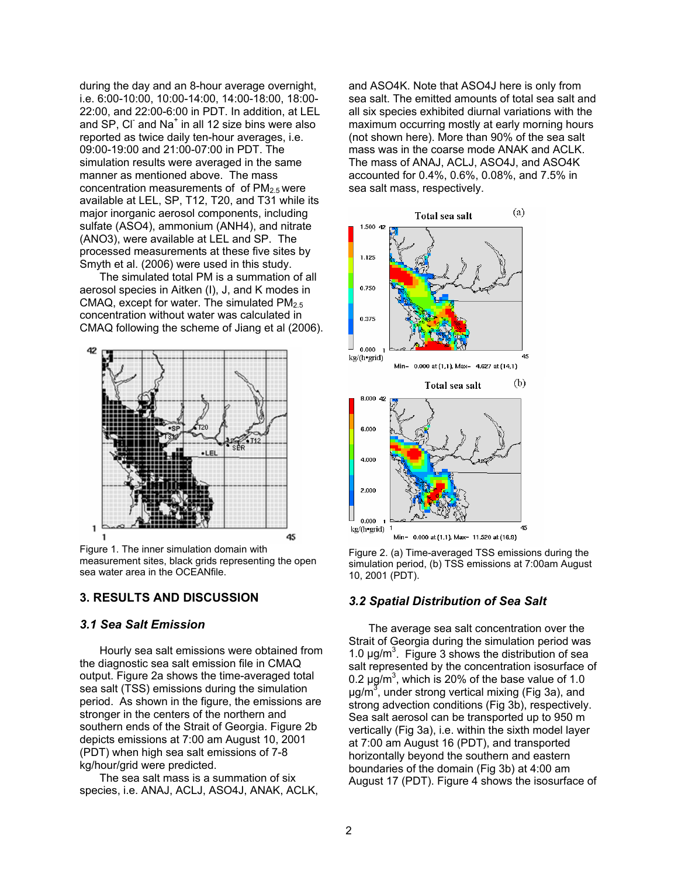during the day and an 8-hour average overnight, i.e. 6:00-10:00, 10:00-14:00, 14:00-18:00, 18:00- 22:00, and 22:00-6:00 in PDT. In addition, at LEL and SP, CI and Na<sup>+</sup> in all 12 size bins were also reported as twice daily ten-hour averages, i.e. 09:00-19:00 and 21:00-07:00 in PDT. The simulation results were averaged in the same manner as mentioned above. The mass concentration measurements of of  $PM<sub>2.5</sub>$  were available at LEL, SP, T12, T20, and T31 while its major inorganic aerosol components, including sulfate (ASO4), ammonium (ANH4), and nitrate (ANO3), were available at LEL and SP. The processed measurements at these five sites by Smyth et al. (2006) were used in this study.

The simulated total PM is a summation of all aerosol species in Aitken (I), J, and K modes in CMAQ, except for water. The simulated  $PM<sub>2.5</sub>$ concentration without water was calculated in CMAQ following the scheme of Jiang et al (2006).



Figure 1. The inner simulation domain with measurement sites, black grids representing the open sea water area in the OCEANfile.

## **3. RESULTS AND DISCUSSION**

#### *3.1 Sea Salt Emission*

Hourly sea salt emissions were obtained from the diagnostic sea salt emission file in CMAQ output. Figure 2a shows the time-averaged total sea salt (TSS) emissions during the simulation period. As shown in the figure, the emissions are stronger in the centers of the northern and southern ends of the Strait of Georgia. Figure 2b depicts emissions at 7:00 am August 10, 2001 (PDT) when high sea salt emissions of 7-8 kg/hour/grid were predicted.

The sea salt mass is a summation of six species, i.e. ANAJ, ACLJ, ASO4J, ANAK, ACLK, and ASO4K. Note that ASO4J here is only from sea salt. The emitted amounts of total sea salt and all six species exhibited diurnal variations with the maximum occurring mostly at early morning hours (not shown here). More than 90% of the sea salt mass was in the coarse mode ANAK and ACLK. The mass of ANAJ, ACLJ, ASO4J, and ASO4K accounted for 0.4%, 0.6%, 0.08%, and 7.5% in sea salt mass, respectively.



Figure 2. (a) Time-averaged TSS emissions during the simulation period, (b) TSS emissions at 7:00am August 10, 2001 (PDT).

#### *3.2 Spatial Distribution of Sea Salt*

The average sea salt concentration over the Strait of Georgia during the simulation period was 1.0  $\mu$ g/m<sup>3</sup>. Figure 3 shows the distribution of sea salt represented by the concentration isosurface of 0.2  $\mu$ g/m<sup>3</sup>, which is 20% of the base value of 1.0 µg/m<sup>3</sup>, under strong vertical mixing (Fig 3a), and strong advection conditions (Fig 3b), respectively. Sea salt aerosol can be transported up to 950 m vertically (Fig 3a), i.e. within the sixth model layer at 7:00 am August 16 (PDT), and transported horizontally beyond the southern and eastern boundaries of the domain (Fig 3b) at 4:00 am August 17 (PDT). Figure 4 shows the isosurface of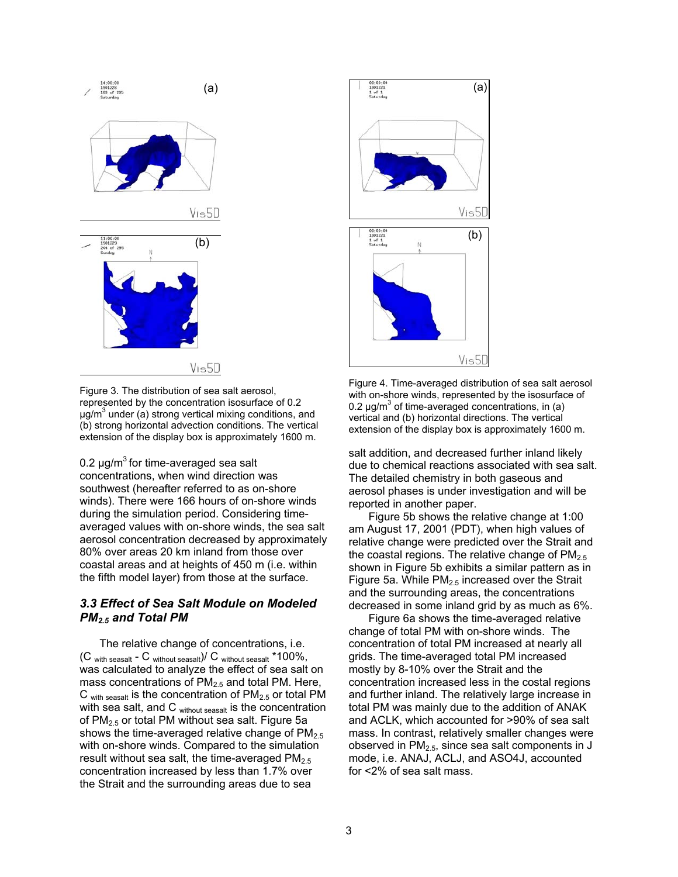

Figure 3. The distribution of sea salt aerosol, represented by the concentration isosurface of 0.2 µg/m<sup>3</sup> under (a) strong vertical mixing conditions, and (b) strong horizontal advection conditions. The vertical extension of the display box is approximately 1600 m.

0.2  $\mu$ g/m<sup>3</sup> for time-averaged sea salt concentrations, when wind direction was southwest (hereafter referred to as on-shore winds). There were 166 hours of on-shore winds during the simulation period. Considering timeaveraged values with on-shore winds, the sea salt aerosol concentration decreased by approximately 80% over areas 20 km inland from those over coastal areas and at heights of 450 m (i.e. within the fifth model layer) from those at the surface.

## *3.3 Effect of Sea Salt Module on Modeled PM2.5 and Total PM*

The relative change of concentrations, i.e.  $(C_{\text{with season}} - C_{\text{without season}})/C_{\text{without season}}$ \*100%, was calculated to analyze the effect of sea salt on mass concentrations of  $PM_{2.5}$  and total PM. Here,  $C_{\text{with season}}$  is the concentration of  $PM_{2.5}$  or total PM with sea salt, and C without seasalt is the concentration of  $PM<sub>2.5</sub>$  or total PM without sea salt. Figure 5a shows the time-averaged relative change of  $PM<sub>2.5</sub>$ with on-shore winds. Compared to the simulation result without sea salt, the time-averaged  $PM<sub>2.5</sub>$ concentration increased by less than 1.7% over the Strait and the surrounding areas due to sea



Figure 4. Time-averaged distribution of sea salt aerosol with on-shore winds, represented by the isosurface of 0.2  $\mu$ g/m<sup>3</sup> of time-averaged concentrations, in (a) vertical and (b) horizontal directions. The vertical extension of the display box is approximately 1600 m.

salt addition, and decreased further inland likely due to chemical reactions associated with sea salt. The detailed chemistry in both gaseous and aerosol phases is under investigation and will be reported in another paper.

Figure 5b shows the relative change at 1:00 am August 17, 2001 (PDT), when high values of relative change were predicted over the Strait and the coastal regions. The relative change of  $PM<sub>2.5</sub>$ shown in Figure 5b exhibits a similar pattern as in Figure 5a. While  $PM<sub>2.5</sub>$  increased over the Strait and the surrounding areas, the concentrations decreased in some inland grid by as much as 6%.

Figure 6a shows the time-averaged relative change of total PM with on-shore winds. The concentration of total PM increased at nearly all grids. The time-averaged total PM increased mostly by 8-10% over the Strait and the concentration increased less in the costal regions and further inland. The relatively large increase in total PM was mainly due to the addition of ANAK and ACLK, which accounted for >90% of sea salt mass. In contrast, relatively smaller changes were observed in  $PM<sub>2.5</sub>$ , since sea salt components in J mode, i.e. ANAJ, ACLJ, and ASO4J, accounted for <2% of sea salt mass.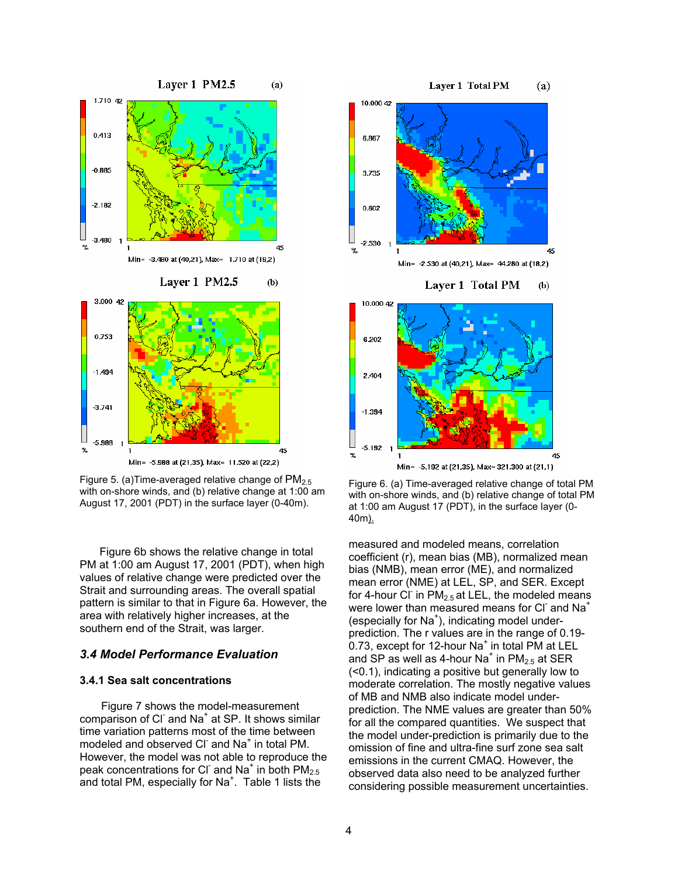

Figure 5. (a) Time-averaged relative change of  $PM_{2.5}$ with on-shore winds, and (b) relative change at 1:00 am August 17, 2001 (PDT) in the surface layer (0-40m).

Figure 6b shows the relative change in total PM at 1:00 am August 17, 2001 (PDT), when high values of relative change were predicted over the Strait and surrounding areas. The overall spatial pattern is similar to that in Figure 6a. However, the area with relatively higher increases, at the southern end of the Strait, was larger.

### *3.4 Model Performance Evaluation*

#### **3.4.1 Sea salt concentrations**

 Figure 7 shows the model-measurement comparison of CI and Na<sup>+</sup> at SP. It shows similar time variation patterns most of the time between modeled and observed CI and Na<sup>+</sup> in total PM. However, the model was not able to reproduce the peak concentrations for CI and Na<sup>+</sup> in both  $PM_{2.5}$ and total PM, especially for Na<sup>+</sup>. Table 1 lists the



#### Laver 1 Total PM  $(b)$



Figure 6. (a) Time-averaged relative change of total PM with on-shore winds, and (b) relative change of total PM at 1:00 am August 17 (PDT), in the surface layer (0- 40m).

measured and modeled means, correlation coefficient (r), mean bias (MB), normalized mean bias (NMB), mean error (ME), and normalized mean error (NME) at LEL, SP, and SER. Except for 4-hour CI in  $PM_{2.5}$  at LEL, the modeled means were lower than measured means for CI and  $Na<sup>+</sup>$ (especially for Na<sup>+</sup>), indicating model underprediction. The r values are in the range of 0.19-  $0.73$ , except for 12-hour Na $^+$  in total PM at LEL and SP as well as 4-hour Na<sup>+</sup> in  $PM_{2.5}$  at SER (<0.1), indicating a positive but generally low to moderate correlation. The mostly negative values of MB and NMB also indicate model underprediction. The NME values are greater than 50% for all the compared quantities. We suspect that the model under-prediction is primarily due to the omission of fine and ultra-fine surf zone sea salt emissions in the current CMAQ. However, the observed data also need to be analyzed further considering possible measurement uncertainties.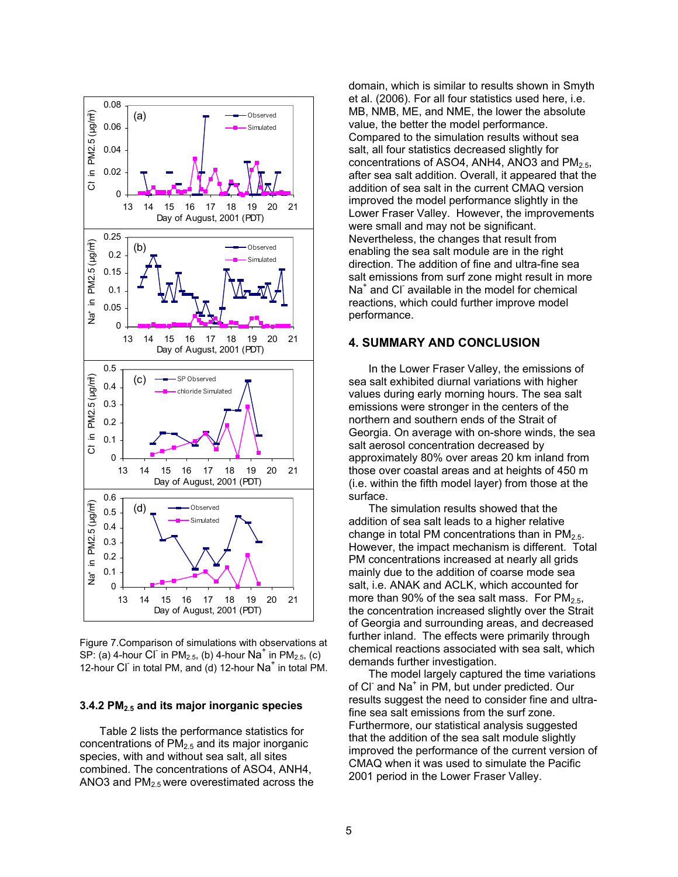

Figure 7.Comparison of simulations with observations at SP: (a) 4-hour CI in PM<sub>2.5</sub>, (b) 4-hour Na<sup>+</sup> in PM<sub>2.5</sub>, (c) 12-hour CI in total PM, and (d) 12-hour Na<sup>+</sup> in total PM.

#### **3.4.2 PM2.5 and its major inorganic species**

Table 2 lists the performance statistics for concentrations of  $PM<sub>2.5</sub>$  and its major inorganic species, with and without sea salt, all sites combined. The concentrations of ASO4, ANH4, ANO3 and  $PM<sub>2.5</sub>$  were overestimated across the domain, which is similar to results shown in Smyth et al. (2006). For all four statistics used here, i.e. MB, NMB, ME, and NME, the lower the absolute value, the better the model performance. Compared to the simulation results without sea salt, all four statistics decreased slightly for concentrations of ASO4, ANH4, ANO3 and  $PM<sub>2.5</sub>$ , after sea salt addition. Overall, it appeared that the addition of sea salt in the current CMAQ version improved the model performance slightly in the Lower Fraser Valley. However, the improvements were small and may not be significant. Nevertheless, the changes that result from enabling the sea salt module are in the right direction. The addition of fine and ultra-fine sea salt emissions from surf zone might result in more Na<sup>+</sup> and Cl<sup>-</sup> available in the model for chemical reactions, which could further improve model performance.

#### **4. SUMMARY AND CONCLUSION**

In the Lower Fraser Valley, the emissions of sea salt exhibited diurnal variations with higher values during early morning hours. The sea salt emissions were stronger in the centers of the northern and southern ends of the Strait of Georgia. On average with on-shore winds, the sea salt aerosol concentration decreased by approximately 80% over areas 20 km inland from those over coastal areas and at heights of 450 m (i.e. within the fifth model layer) from those at the surface.

The simulation results showed that the addition of sea salt leads to a higher relative change in total PM concentrations than in  $PM_{2.5}$ . However, the impact mechanism is different. Total PM concentrations increased at nearly all grids mainly due to the addition of coarse mode sea salt, i.e. ANAK and ACLK, which accounted for more than 90% of the sea salt mass. For  $PM<sub>2.5</sub>$ , the concentration increased slightly over the Strait of Georgia and surrounding areas, and decreased further inland. The effects were primarily through chemical reactions associated with sea salt, which demands further investigation.

The model largely captured the time variations of CI and Na<sup>+</sup> in PM, but under predicted. Our results suggest the need to consider fine and ultrafine sea salt emissions from the surf zone. Furthermore, our statistical analysis suggested that the addition of the sea salt module slightly improved the performance of the current version of CMAQ when it was used to simulate the Pacific 2001 period in the Lower Fraser Valley.